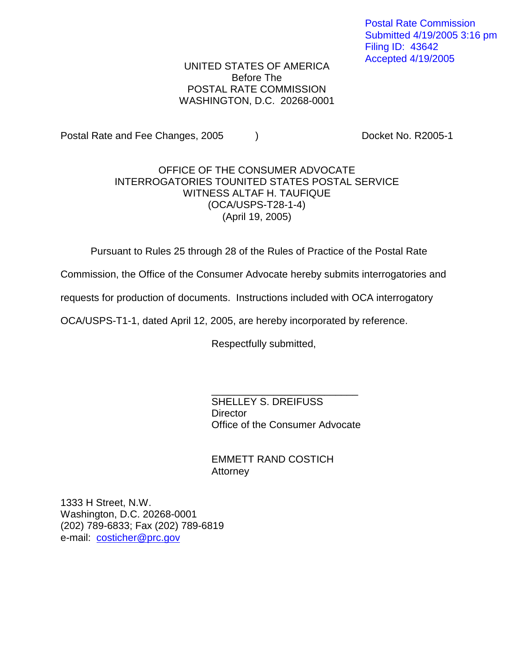Postal Rate Commission Submitted 4/19/2005 3:16 pm Filing ID: 43642 Accepted 4/19/2005

UNITED STATES OF AMERICA Before The POSTAL RATE COMMISSION WASHINGTON, D.C. 20268-0001

Postal Rate and Fee Changes, 2005 (a) The Cooket No. R2005-1

## OFFICE OF THE CONSUMER ADVOCATE INTERROGATORIES TOUNITED STATES POSTAL SERVICE WITNESS ALTAF H. TAUFIQUE (OCA/USPS-T28-1-4) (April 19, 2005)

Pursuant to Rules 25 through 28 of the Rules of Practice of the Postal Rate

Commission, the Office of the Consumer Advocate hereby submits interrogatories and

requests for production of documents. Instructions included with OCA interrogatory

OCA/USPS-T1-1, dated April 12, 2005, are hereby incorporated by reference.

Respectfully submitted,

SHELLEY S. DREIFUSS **Director** Office of the Consumer Advocate

\_\_\_\_\_\_\_\_\_\_\_\_\_\_\_\_\_\_\_\_\_\_\_\_\_\_

EMMETT RAND COSTICH Attorney

1333 H Street, N.W. Washington, D.C. 20268-0001 (202) 789-6833; Fax (202) 789-6819 e-mail: costicher@prc.gov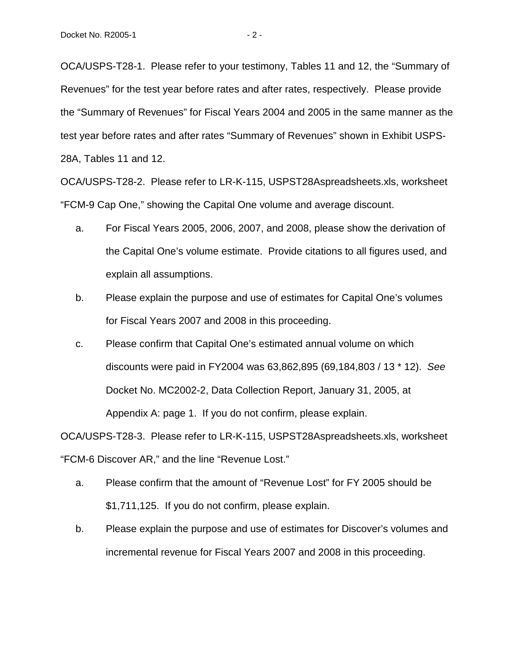OCA/USPS-T28-1. Please refer to your testimony, Tables 11 and 12, the "Summary of Revenues" for the test year before rates and after rates, respectively. Please provide the "Summary of Revenues" for Fiscal Years 2004 and 2005 in the same manner as the test year before rates and after rates "Summary of Revenues" shown in Exhibit USPS-28A, Tables 11 and 12.

OCA/USPS-T28-2. Please refer to LR-K-115, USPST28Aspreadsheets.xls, worksheet "FCM-9 Cap One," showing the Capital One volume and average discount.

- a. For Fiscal Years 2005, 2006, 2007, and 2008, please show the derivation of the Capital One's volume estimate. Provide citations to all figures used, and explain all assumptions.
- b. Please explain the purpose and use of estimates for Capital One's volumes for Fiscal Years 2007 and 2008 in this proceeding.
- c. Please confirm that Capital One's estimated annual volume on which discounts were paid in FY2004 was 63,862,895 (69,184,803 / 13 \* 12). See Docket No. MC2002-2, Data Collection Report, January 31, 2005, at Appendix A: page 1. If you do not confirm, please explain.

OCA/USPS-T28-3. Please refer to LR-K-115, USPST28Aspreadsheets.xls, worksheet "FCM-6 Discover AR," and the line "Revenue Lost."

- a. Please confirm that the amount of "Revenue Lost" for FY 2005 should be \$1,711,125. If you do not confirm, please explain.
- b. Please explain the purpose and use of estimates for Discover's volumes and incremental revenue for Fiscal Years 2007 and 2008 in this proceeding.